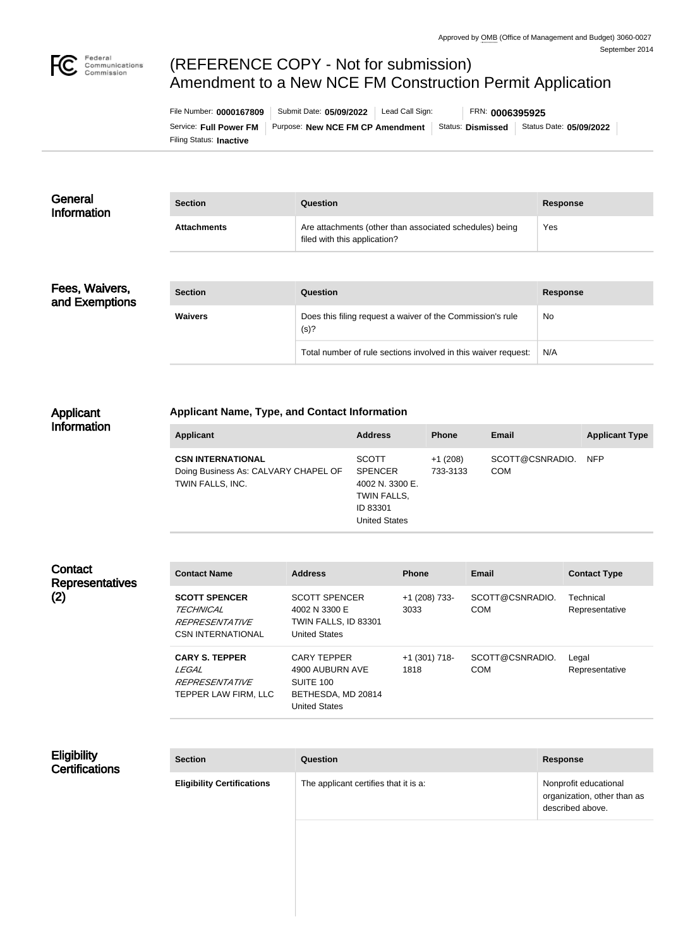

# (REFERENCE COPY - Not for submission) Amendment to a New NCE FM Construction Permit Application

Filing Status: **Inactive** Service: Full Power FM | Purpose: New NCE FM CP Amendment | Status: Dismissed | Status Date: 05/09/2022 File Number: **0000167809** Submit Date: **05/09/2022** Lead Call Sign: FRN: **0006395925**

| General<br><b>Information</b> | <b>Section</b>     | Question                                                                                | <b>Response</b> |
|-------------------------------|--------------------|-----------------------------------------------------------------------------------------|-----------------|
|                               | <b>Attachments</b> | Are attachments (other than associated schedules) being<br>filed with this application? | Yes             |

# Fees, Waivers, and Exemptions

| <b>Section</b> | Question                                                           | <b>Response</b> |
|----------------|--------------------------------------------------------------------|-----------------|
| <b>Waivers</b> | Does this filing request a waiver of the Commission's rule<br>(s)? | <b>No</b>       |
|                | Total number of rule sections involved in this waiver request:     | N/A             |

#### Applicant Information

## **Applicant Name, Type, and Contact Information**

| <b>Applicant</b>                                                                     | <b>Address</b>                                                                                       | <b>Phone</b>          | Email                         | <b>Applicant Type</b> |
|--------------------------------------------------------------------------------------|------------------------------------------------------------------------------------------------------|-----------------------|-------------------------------|-----------------------|
| <b>CSN INTERNATIONAL</b><br>Doing Business As: CALVARY CHAPEL OF<br>TWIN FALLS, INC. | <b>SCOTT</b><br><b>SPENCER</b><br>4002 N. 3300 E.<br>TWIN FALLS,<br>ID 83301<br><b>United States</b> | $+1(208)$<br>733-3133 | SCOTT@CSNRADIO.<br><b>COM</b> | <b>NFP</b>            |

#### **Contact Representatives** (2)

| <b>Contact Name</b>                                                                           | <b>Address</b>                                                                            | <b>Phone</b>            | Email                         | <b>Contact Type</b>         |
|-----------------------------------------------------------------------------------------------|-------------------------------------------------------------------------------------------|-------------------------|-------------------------------|-----------------------------|
| <b>SCOTT SPENCER</b><br><i>TECHNICAL</i><br><i>REPRESENTATIVE</i><br><b>CSN INTERNATIONAL</b> | <b>SCOTT SPENCER</b><br>4002 N 3300 E<br>TWIN FALLS, ID 83301<br><b>United States</b>     | +1 (208) 733-<br>3033   | SCOTT@CSNRADIO.<br><b>COM</b> | Technical<br>Representative |
| <b>CARY S. TEPPER</b><br>I FGAI<br><i>REPRESENTATIVE</i><br>TEPPER LAW FIRM, LLC              | <b>CARY TEPPER</b><br>4900 AUBURN AVE<br>SUITE 100<br>BETHESDA, MD 20814<br>United States | $+1$ (301) 718-<br>1818 | SCOTT@CSNRADIO.<br>COM        | Legal<br>Representative     |

#### **Eligibility Certifications**

| <b>Section</b>                    | <b>Question</b>                       | <b>Response</b>                                                          |
|-----------------------------------|---------------------------------------|--------------------------------------------------------------------------|
| <b>Eligibility Certifications</b> | The applicant certifies that it is a: | Nonprofit educational<br>organization, other than as<br>described above. |
|                                   |                                       |                                                                          |
|                                   |                                       |                                                                          |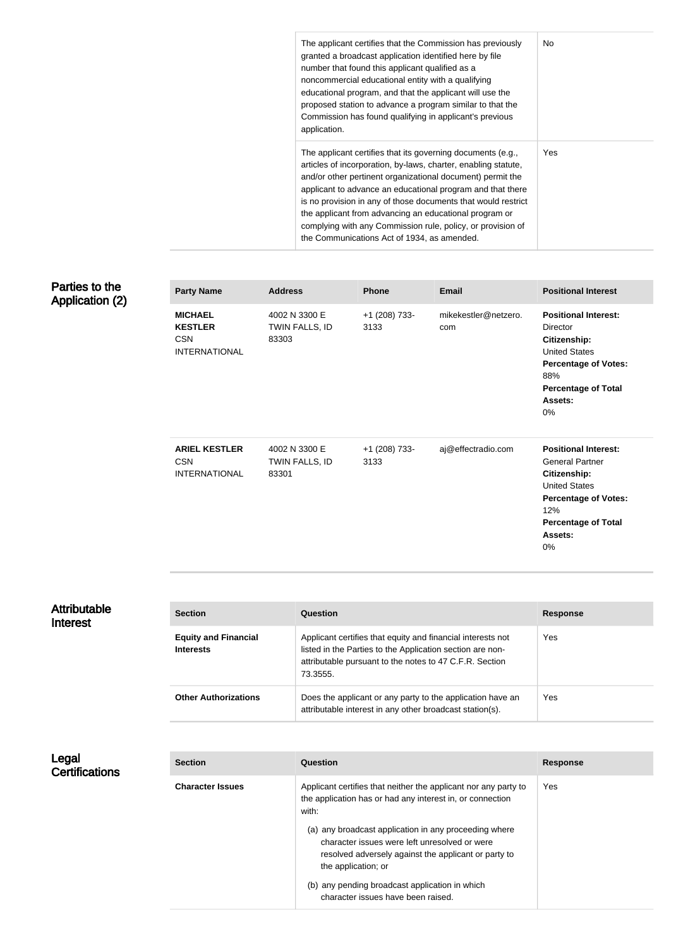| The applicant certifies that the Commission has previously<br>granted a broadcast application identified here by file<br>number that found this applicant qualified as a<br>noncommercial educational entity with a qualifying<br>educational program, and that the applicant will use the<br>proposed station to advance a program similar to that the<br>Commission has found qualifying in applicant's previous<br>application.                                                                 | No.        |
|----------------------------------------------------------------------------------------------------------------------------------------------------------------------------------------------------------------------------------------------------------------------------------------------------------------------------------------------------------------------------------------------------------------------------------------------------------------------------------------------------|------------|
| The applicant certifies that its governing documents (e.g.,<br>articles of incorporation, by-laws, charter, enabling statute,<br>and/or other pertinent organizational document) permit the<br>applicant to advance an educational program and that there<br>is no provision in any of those documents that would restrict<br>the applicant from advancing an educational program or<br>complying with any Commission rule, policy, or provision of<br>the Communications Act of 1934, as amended. | <b>Yes</b> |

## Parties to the Application (2)

| <b>Party Name</b>                                                      | <b>Address</b>                           | <b>Phone</b>          | <b>Email</b>                | <b>Positional Interest</b>                                                                                                                                                                |
|------------------------------------------------------------------------|------------------------------------------|-----------------------|-----------------------------|-------------------------------------------------------------------------------------------------------------------------------------------------------------------------------------------|
| <b>MICHAEL</b><br><b>KESTLER</b><br><b>CSN</b><br><b>INTERNATIONAL</b> | 4002 N 3300 E<br>TWIN FALLS, ID<br>83303 | +1 (208) 733-<br>3133 | mikekestler@netzero.<br>com | <b>Positional Interest:</b><br>Director<br>Citizenship:<br><b>United States</b><br><b>Percentage of Votes:</b><br>88%<br><b>Percentage of Total</b><br>Assets:<br>0%                      |
| <b>ARIEL KESTLER</b><br><b>CSN</b><br><b>INTERNATIONAL</b>             | 4002 N 3300 E<br>TWIN FALLS, ID<br>83301 | +1 (208) 733-<br>3133 | aj@effectradio.com          | <b>Positional Interest:</b><br><b>General Partner</b><br><b>Citizenship:</b><br><b>United States</b><br><b>Percentage of Votes:</b><br>12%<br><b>Percentage of Total</b><br>Assets:<br>0% |

| <b>Attributable</b><br>Interest | <b>Section</b>                                  | Question                                                                                                                                                                                        | <b>Response</b> |
|---------------------------------|-------------------------------------------------|-------------------------------------------------------------------------------------------------------------------------------------------------------------------------------------------------|-----------------|
|                                 | <b>Equity and Financial</b><br><b>Interests</b> | Applicant certifies that equity and financial interests not<br>listed in the Parties to the Application section are non-<br>attributable pursuant to the notes to 47 C.F.R. Section<br>73.3555. | Yes             |
|                                 | <b>Other Authorizations</b>                     | Does the applicant or any party to the application have an<br>attributable interest in any other broadcast station(s).                                                                          | Yes             |

Legal **Certifications** 

| <b>Section</b>          | Question                                                                                                                                                                              | <b>Response</b> |
|-------------------------|---------------------------------------------------------------------------------------------------------------------------------------------------------------------------------------|-----------------|
| <b>Character Issues</b> | Applicant certifies that neither the applicant nor any party to<br>the application has or had any interest in, or connection<br>with:                                                 | Yes.            |
|                         | (a) any broadcast application in any proceeding where<br>character issues were left unresolved or were<br>resolved adversely against the applicant or party to<br>the application; or |                 |
|                         | (b) any pending broadcast application in which<br>character issues have been raised.                                                                                                  |                 |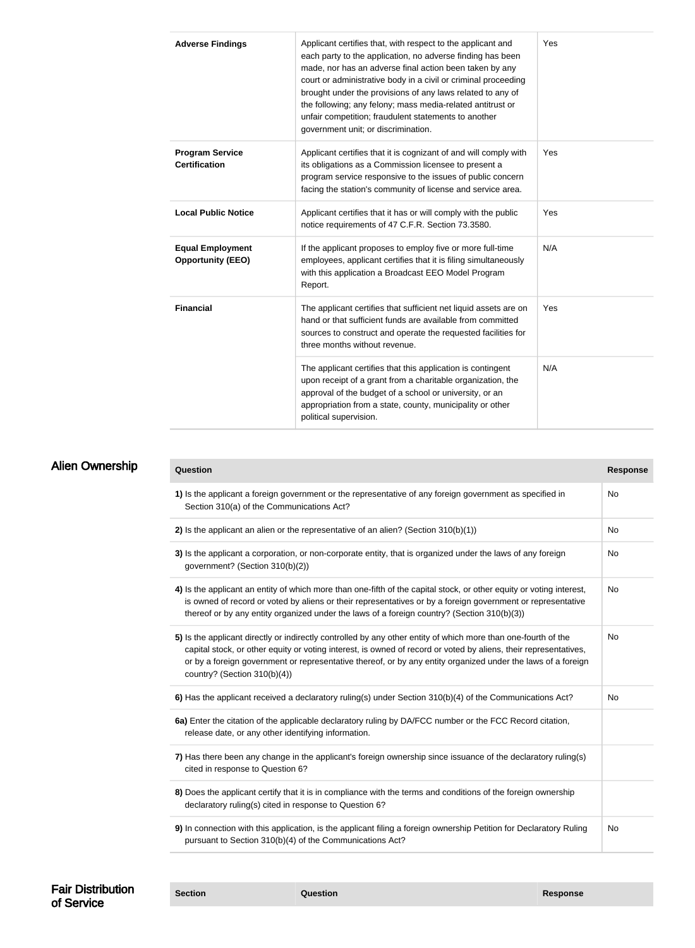| <b>Adverse Findings</b>                             | Applicant certifies that, with respect to the applicant and<br>each party to the application, no adverse finding has been<br>made, nor has an adverse final action been taken by any<br>court or administrative body in a civil or criminal proceeding<br>brought under the provisions of any laws related to any of<br>the following; any felony; mass media-related antitrust or<br>unfair competition; fraudulent statements to another<br>government unit; or discrimination. | Yes |
|-----------------------------------------------------|-----------------------------------------------------------------------------------------------------------------------------------------------------------------------------------------------------------------------------------------------------------------------------------------------------------------------------------------------------------------------------------------------------------------------------------------------------------------------------------|-----|
| <b>Program Service</b><br><b>Certification</b>      | Applicant certifies that it is cognizant of and will comply with<br>its obligations as a Commission licensee to present a<br>program service responsive to the issues of public concern<br>facing the station's community of license and service area.                                                                                                                                                                                                                            | Yes |
| <b>Local Public Notice</b>                          | Applicant certifies that it has or will comply with the public<br>notice requirements of 47 C.F.R. Section 73.3580.                                                                                                                                                                                                                                                                                                                                                               | Yes |
| <b>Equal Employment</b><br><b>Opportunity (EEO)</b> | If the applicant proposes to employ five or more full-time<br>employees, applicant certifies that it is filing simultaneously<br>with this application a Broadcast EEO Model Program<br>Report.                                                                                                                                                                                                                                                                                   | N/A |
| <b>Financial</b>                                    | The applicant certifies that sufficient net liquid assets are on<br>hand or that sufficient funds are available from committed<br>sources to construct and operate the requested facilities for<br>three months without revenue.                                                                                                                                                                                                                                                  | Yes |
|                                                     | The applicant certifies that this application is contingent<br>upon receipt of a grant from a charitable organization, the<br>approval of the budget of a school or university, or an<br>appropriation from a state, county, municipality or other<br>political supervision.                                                                                                                                                                                                      | N/A |

| <b>Alien Ownership</b> | <b>Question</b>                                                                                                                                                                                                                                                                                                                                                                    | <b>Response</b> |
|------------------------|------------------------------------------------------------------------------------------------------------------------------------------------------------------------------------------------------------------------------------------------------------------------------------------------------------------------------------------------------------------------------------|-----------------|
|                        | 1) Is the applicant a foreign government or the representative of any foreign government as specified in<br>Section 310(a) of the Communications Act?                                                                                                                                                                                                                              | <b>No</b>       |
|                        | 2) Is the applicant an alien or the representative of an alien? (Section $310(b)(1)$ )                                                                                                                                                                                                                                                                                             | No              |
|                        | 3) Is the applicant a corporation, or non-corporate entity, that is organized under the laws of any foreign<br>government? (Section 310(b)(2))                                                                                                                                                                                                                                     | No              |
|                        | 4) Is the applicant an entity of which more than one-fifth of the capital stock, or other equity or voting interest,<br>is owned of record or voted by aliens or their representatives or by a foreign government or representative<br>thereof or by any entity organized under the laws of a foreign country? (Section 310(b)(3))                                                 | No              |
|                        | 5) Is the applicant directly or indirectly controlled by any other entity of which more than one-fourth of the<br>capital stock, or other equity or voting interest, is owned of record or voted by aliens, their representatives,<br>or by a foreign government or representative thereof, or by any entity organized under the laws of a foreign<br>country? (Section 310(b)(4)) | No              |
|                        | 6) Has the applicant received a declaratory ruling(s) under Section 310(b)(4) of the Communications Act?                                                                                                                                                                                                                                                                           | No              |
|                        | 6a) Enter the citation of the applicable declaratory ruling by DA/FCC number or the FCC Record citation,<br>release date, or any other identifying information.                                                                                                                                                                                                                    |                 |
|                        | 7) Has there been any change in the applicant's foreign ownership since issuance of the declaratory ruling(s)<br>cited in response to Question 6?                                                                                                                                                                                                                                  |                 |
|                        | 8) Does the applicant certify that it is in compliance with the terms and conditions of the foreign ownership<br>declaratory ruling(s) cited in response to Question 6?                                                                                                                                                                                                            |                 |
|                        | 9) In connection with this application, is the applicant filing a foreign ownership Petition for Declaratory Ruling<br>pursuant to Section 310(b)(4) of the Communications Act?                                                                                                                                                                                                    | No              |
|                        |                                                                                                                                                                                                                                                                                                                                                                                    |                 |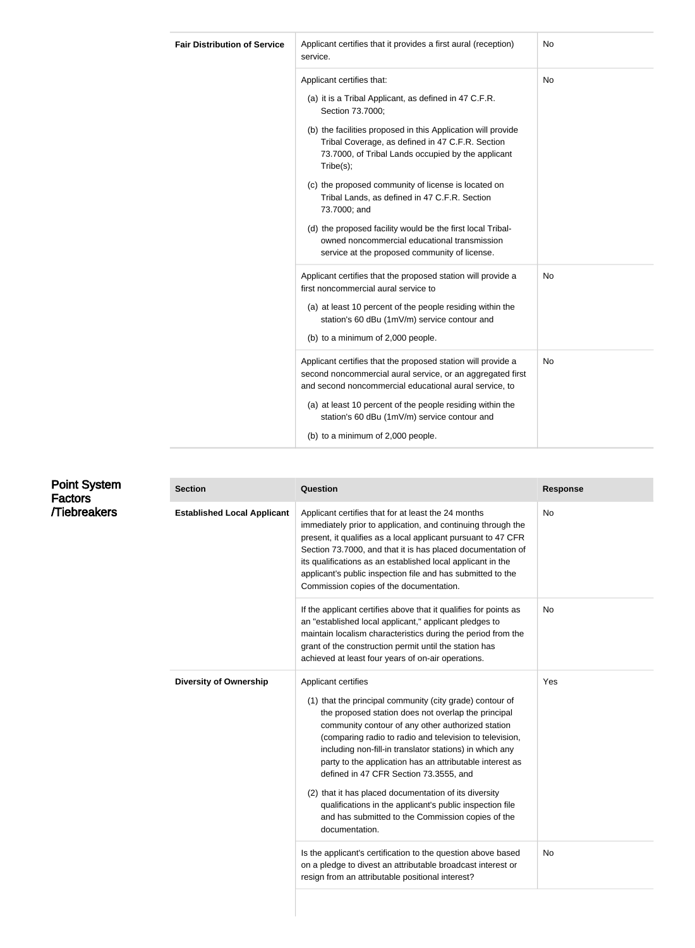| <b>Fair Distribution of Service</b> | Applicant certifies that it provides a first aural (reception)<br>service.                                                                                                                                                                                                                                                                                                                                                                                                                                                                                                           | No        |
|-------------------------------------|--------------------------------------------------------------------------------------------------------------------------------------------------------------------------------------------------------------------------------------------------------------------------------------------------------------------------------------------------------------------------------------------------------------------------------------------------------------------------------------------------------------------------------------------------------------------------------------|-----------|
|                                     | Applicant certifies that:<br>(a) it is a Tribal Applicant, as defined in 47 C.F.R.<br>Section 73.7000;<br>(b) the facilities proposed in this Application will provide<br>Tribal Coverage, as defined in 47 C.F.R. Section<br>73.7000, of Tribal Lands occupied by the applicant<br>Tribe(s);<br>(c) the proposed community of license is located on<br>Tribal Lands, as defined in 47 C.F.R. Section<br>73.7000; and<br>(d) the proposed facility would be the first local Tribal-<br>owned noncommercial educational transmission<br>service at the proposed community of license. | <b>No</b> |
|                                     | Applicant certifies that the proposed station will provide a<br>first noncommercial aural service to<br>(a) at least 10 percent of the people residing within the<br>station's 60 dBu (1mV/m) service contour and<br>(b) to a minimum of 2,000 people.                                                                                                                                                                                                                                                                                                                               | <b>No</b> |
|                                     | Applicant certifies that the proposed station will provide a<br>second noncommercial aural service, or an aggregated first<br>and second noncommercial educational aural service, to<br>(a) at least 10 percent of the people residing within the<br>station's 60 dBu (1mV/m) service contour and<br>(b) to a minimum of 2,000 people.                                                                                                                                                                                                                                               | No        |

| <b>Factors</b><br><b>/Tiebreakers</b> | <b>Established Local Applicant</b> | Applicant certifies that for at least the 24 months<br>immediately prior to application, and continuing through the<br>present, it qualifies as a local applicant pursuant to 47 CFR<br>Section 73.7000, and that it is has placed documentation of                                                                                                                                                                                                                                                                                                                                                                 | No  |
|---------------------------------------|------------------------------------|---------------------------------------------------------------------------------------------------------------------------------------------------------------------------------------------------------------------------------------------------------------------------------------------------------------------------------------------------------------------------------------------------------------------------------------------------------------------------------------------------------------------------------------------------------------------------------------------------------------------|-----|
|                                       |                                    | its qualifications as an established local applicant in the<br>applicant's public inspection file and has submitted to the<br>Commission copies of the documentation.                                                                                                                                                                                                                                                                                                                                                                                                                                               |     |
|                                       |                                    | If the applicant certifies above that it qualifies for points as<br>an "established local applicant," applicant pledges to<br>maintain localism characteristics during the period from the<br>grant of the construction permit until the station has<br>achieved at least four years of on-air operations.                                                                                                                                                                                                                                                                                                          | No  |
|                                       | <b>Diversity of Ownership</b>      | Applicant certifies<br>(1) that the principal community (city grade) contour of<br>the proposed station does not overlap the principal<br>community contour of any other authorized station<br>(comparing radio to radio and television to television,<br>including non-fill-in translator stations) in which any<br>party to the application has an attributable interest as<br>defined in 47 CFR Section 73.3555, and<br>(2) that it has placed documentation of its diversity<br>qualifications in the applicant's public inspection file<br>and has submitted to the Commission copies of the<br>documentation. | Yes |
|                                       |                                    | Is the applicant's certification to the question above based<br>on a pledge to divest an attributable broadcast interest or<br>resign from an attributable positional interest?                                                                                                                                                                                                                                                                                                                                                                                                                                     | No. |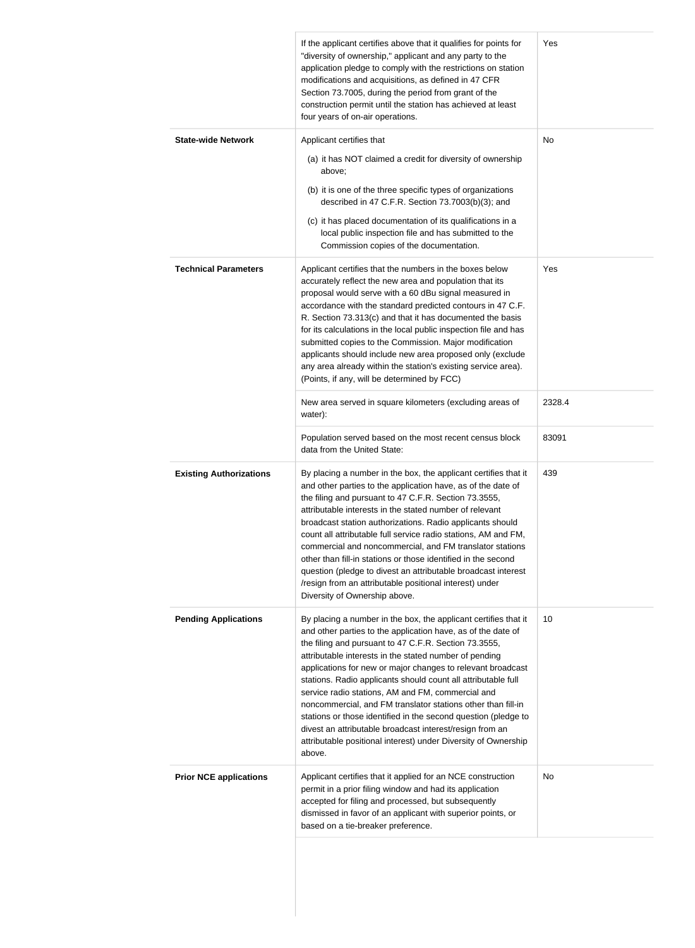|                                | If the applicant certifies above that it qualifies for points for<br>"diversity of ownership," applicant and any party to the<br>application pledge to comply with the restrictions on station<br>modifications and acquisitions, as defined in 47 CFR<br>Section 73.7005, during the period from grant of the<br>construction permit until the station has achieved at least<br>four years of on-air operations.                                                                                                                                                                                                                                                                                                 | Yes    |
|--------------------------------|-------------------------------------------------------------------------------------------------------------------------------------------------------------------------------------------------------------------------------------------------------------------------------------------------------------------------------------------------------------------------------------------------------------------------------------------------------------------------------------------------------------------------------------------------------------------------------------------------------------------------------------------------------------------------------------------------------------------|--------|
| <b>State-wide Network</b>      | Applicant certifies that<br>(a) it has NOT claimed a credit for diversity of ownership<br>above;<br>(b) it is one of the three specific types of organizations<br>described in 47 C.F.R. Section 73.7003(b)(3); and<br>(c) it has placed documentation of its qualifications in a                                                                                                                                                                                                                                                                                                                                                                                                                                 | No     |
| <b>Technical Parameters</b>    | local public inspection file and has submitted to the<br>Commission copies of the documentation.<br>Applicant certifies that the numbers in the boxes below                                                                                                                                                                                                                                                                                                                                                                                                                                                                                                                                                       | Yes    |
|                                | accurately reflect the new area and population that its<br>proposal would serve with a 60 dBu signal measured in<br>accordance with the standard predicted contours in 47 C.F.<br>R. Section 73.313(c) and that it has documented the basis<br>for its calculations in the local public inspection file and has<br>submitted copies to the Commission. Major modification<br>applicants should include new area proposed only (exclude<br>any area already within the station's existing service area).<br>(Points, if any, will be determined by FCC)                                                                                                                                                            |        |
|                                | New area served in square kilometers (excluding areas of<br>water):                                                                                                                                                                                                                                                                                                                                                                                                                                                                                                                                                                                                                                               | 2328.4 |
|                                | Population served based on the most recent census block<br>data from the United State:                                                                                                                                                                                                                                                                                                                                                                                                                                                                                                                                                                                                                            | 83091  |
| <b>Existing Authorizations</b> | By placing a number in the box, the applicant certifies that it<br>and other parties to the application have, as of the date of<br>the filing and pursuant to 47 C.F.R. Section 73.3555,<br>attributable interests in the stated number of relevant<br>broadcast station authorizations. Radio applicants should<br>count all attributable full service radio stations, AM and FM,<br>commercial and noncommercial, and FM translator stations<br>other than fill-in stations or those identified in the second<br>question (pledge to divest an attributable broadcast interest<br>/resign from an attributable positional interest) under<br>Diversity of Ownership above.                                      | 439    |
| <b>Pending Applications</b>    | By placing a number in the box, the applicant certifies that it<br>and other parties to the application have, as of the date of<br>the filing and pursuant to 47 C.F.R. Section 73.3555,<br>attributable interests in the stated number of pending<br>applications for new or major changes to relevant broadcast<br>stations. Radio applicants should count all attributable full<br>service radio stations, AM and FM, commercial and<br>noncommercial, and FM translator stations other than fill-in<br>stations or those identified in the second question (pledge to<br>divest an attributable broadcast interest/resign from an<br>attributable positional interest) under Diversity of Ownership<br>above. | 10     |
| <b>Prior NCE applications</b>  | Applicant certifies that it applied for an NCE construction<br>permit in a prior filing window and had its application<br>accepted for filing and processed, but subsequently<br>dismissed in favor of an applicant with superior points, or<br>based on a tie-breaker preference.                                                                                                                                                                                                                                                                                                                                                                                                                                | No     |
|                                |                                                                                                                                                                                                                                                                                                                                                                                                                                                                                                                                                                                                                                                                                                                   |        |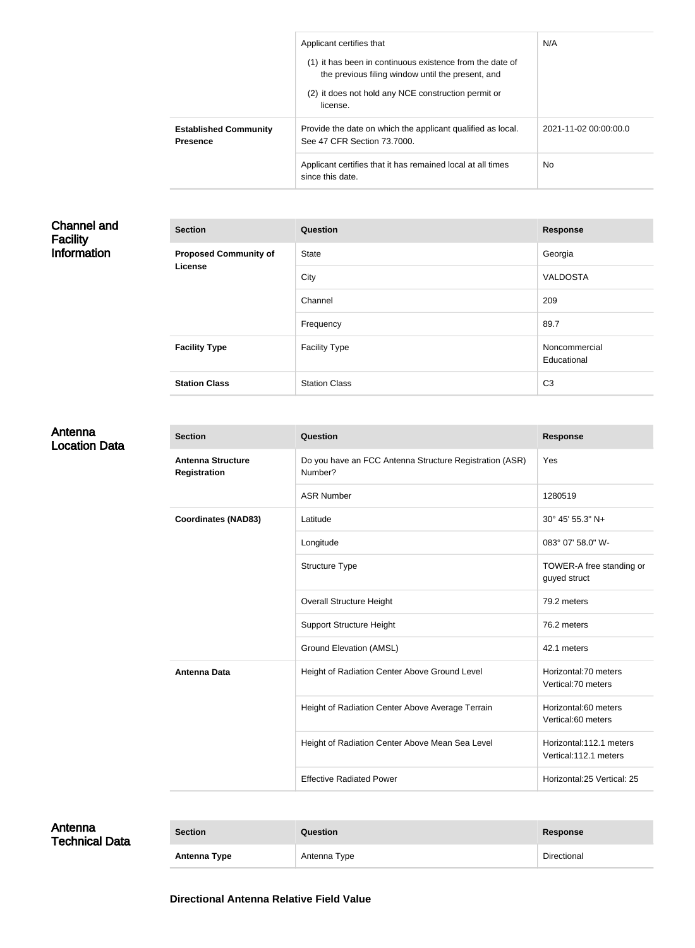| Applicant certifies that<br>(1) it has been in continuous existence from the date of<br>the previous filing window until the present, and<br>(2) it does not hold any NCE construction permit or<br>license. | N/A                   |
|--------------------------------------------------------------------------------------------------------------------------------------------------------------------------------------------------------------|-----------------------|
| Provide the date on which the applicant qualified as local.<br>See 47 CFR Section 73,7000.                                                                                                                   | 2021-11-02 00:00:00.0 |
| Applicant certifies that it has remained local at all times<br>since this date.                                                                                                                              | N <sub>o</sub>        |
|                                                                                                                                                                                                              |                       |

### Channel and Facility Information

| <b>Section</b>               | Question             | <b>Response</b>              |
|------------------------------|----------------------|------------------------------|
| <b>Proposed Community of</b> | <b>State</b>         | Georgia                      |
| <b>License</b>               | City                 | <b>VALDOSTA</b>              |
|                              | Channel              | 209                          |
|                              | Frequency            | 89.7                         |
| <b>Facility Type</b>         | <b>Facility Type</b> | Noncommercial<br>Educational |
| <b>Station Class</b>         | <b>Station Class</b> | C <sub>3</sub>               |

### Antenna Location Data

| <b>Section</b>                                  | Question                                                           | <b>Response</b>                                  |
|-------------------------------------------------|--------------------------------------------------------------------|--------------------------------------------------|
| <b>Antenna Structure</b><br><b>Registration</b> | Do you have an FCC Antenna Structure Registration (ASR)<br>Number? | Yes                                              |
|                                                 | <b>ASR Number</b>                                                  | 1280519                                          |
| <b>Coordinates (NAD83)</b>                      | Latitude                                                           | 30° 45' 55.3" N+                                 |
|                                                 | Longitude                                                          | 083° 07' 58.0" W-                                |
|                                                 | Structure Type                                                     | TOWER-A free standing or<br>guyed struct         |
|                                                 | <b>Overall Structure Height</b>                                    | 79.2 meters                                      |
|                                                 | <b>Support Structure Height</b>                                    | 76.2 meters                                      |
|                                                 | <b>Ground Elevation (AMSL)</b>                                     | 42.1 meters                                      |
| <b>Antenna Data</b>                             | Height of Radiation Center Above Ground Level                      | Horizontal: 70 meters<br>Vertical: 70 meters     |
|                                                 | Height of Radiation Center Above Average Terrain                   | Horizontal:60 meters<br>Vertical:60 meters       |
|                                                 | Height of Radiation Center Above Mean Sea Level                    | Horizontal:112.1 meters<br>Vertical:112.1 meters |
|                                                 | <b>Effective Radiated Power</b>                                    | Horizontal:25 Vertical: 25                       |

| Antenna<br><b>Technical Data</b> | <b>Section</b> | <b>Question</b> | <b>Response</b> |
|----------------------------------|----------------|-----------------|-----------------|
|                                  | Antenna Type   | Antenna Type    | Directional     |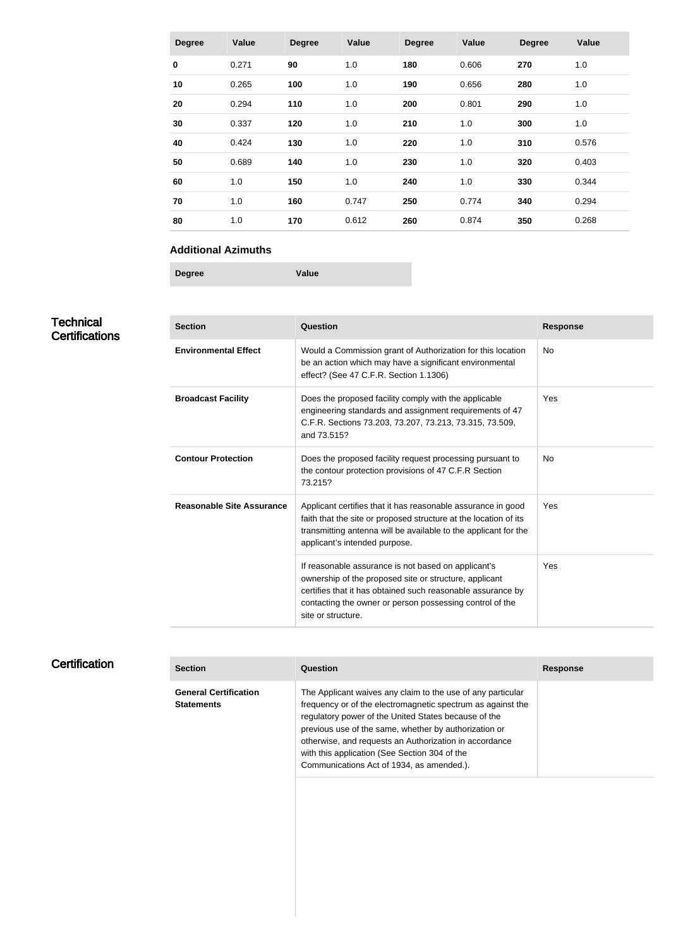| <b>Degree</b> | Value | <b>Degree</b> | Value | <b>Degree</b> | Value | <b>Degree</b> | Value |
|---------------|-------|---------------|-------|---------------|-------|---------------|-------|
| $\bf{0}$      | 0.271 | 90            | 1.0   | 180           | 0.606 | 270           | 1.0   |
| 10            | 0.265 | 100           | 1.0   | 190           | 0.656 | 280           | 1.0   |
| 20            | 0.294 | 110           | 1.0   | 200           | 0.801 | 290           | 1.0   |
| 30            | 0.337 | 120           | 1.0   | 210           | 1.0   | 300           | 1.0   |
| 40            | 0.424 | 130           | 1.0   | 220           | 1.0   | 310           | 0.576 |
| 50            | 0.689 | 140           | 1.0   | 230           | 1.0   | 320           | 0.403 |
| 60            | 1.0   | 150           | 1.0   | 240           | 1.0   | 330           | 0.344 |
| 70            | 1.0   | 160           | 0.747 | 250           | 0.774 | 340           | 0.294 |
| 80            | 1.0   | 170           | 0.612 | 260           | 0.874 | 350           | 0.268 |

#### **Additional Azimuths**

**Degree Value**

# **Technical Certifications**

| <b>Section</b>                   | Question                                                                                                                                                                                                                                                       | <b>Response</b> |
|----------------------------------|----------------------------------------------------------------------------------------------------------------------------------------------------------------------------------------------------------------------------------------------------------------|-----------------|
| <b>Environmental Effect</b>      | Would a Commission grant of Authorization for this location<br>be an action which may have a significant environmental<br>effect? (See 47 C.F.R. Section 1.1306)                                                                                               | <b>No</b>       |
| <b>Broadcast Facility</b>        | Does the proposed facility comply with the applicable<br>engineering standards and assignment requirements of 47<br>C.F.R. Sections 73.203, 73.207, 73.213, 73.315, 73.509,<br>and 73.515?                                                                     | Yes             |
| <b>Contour Protection</b>        | Does the proposed facility request processing pursuant to<br>the contour protection provisions of 47 C.F.R Section<br>73.215?                                                                                                                                  | <b>No</b>       |
| <b>Reasonable Site Assurance</b> | Applicant certifies that it has reasonable assurance in good<br>faith that the site or proposed structure at the location of its<br>transmitting antenna will be available to the applicant for the<br>applicant's intended purpose.                           | Yes             |
|                                  | If reasonable assurance is not based on applicant's<br>ownership of the proposed site or structure, applicant<br>certifies that it has obtained such reasonable assurance by<br>contacting the owner or person possessing control of the<br>site or structure. | Yes             |

# **Certification**

| <b>Section</b>                                    | Question                                                                                                                                                                                                                                                                                                                                                                                            | <b>Response</b> |
|---------------------------------------------------|-----------------------------------------------------------------------------------------------------------------------------------------------------------------------------------------------------------------------------------------------------------------------------------------------------------------------------------------------------------------------------------------------------|-----------------|
| <b>General Certification</b><br><b>Statements</b> | The Applicant waives any claim to the use of any particular<br>frequency or of the electromagnetic spectrum as against the<br>regulatory power of the United States because of the<br>previous use of the same, whether by authorization or<br>otherwise, and requests an Authorization in accordance<br>with this application (See Section 304 of the<br>Communications Act of 1934, as amended.). |                 |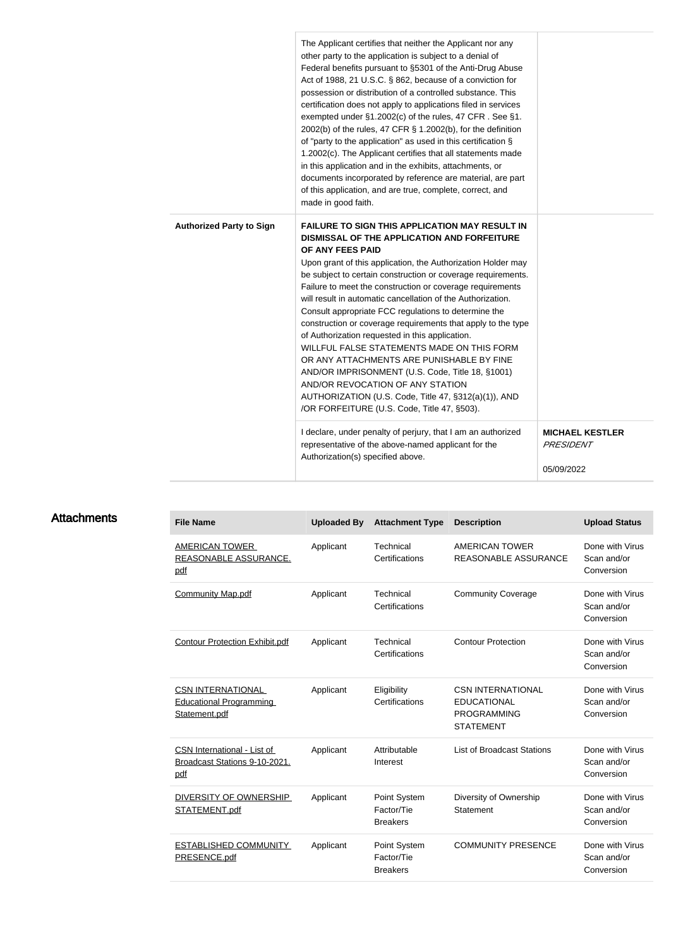|                                 | The Applicant certifies that neither the Applicant nor any<br>other party to the application is subject to a denial of<br>Federal benefits pursuant to §5301 of the Anti-Drug Abuse<br>Act of 1988, 21 U.S.C. § 862, because of a conviction for<br>possession or distribution of a controlled substance. This<br>certification does not apply to applications filed in services<br>exempted under §1.2002(c) of the rules, 47 CFR. See §1.<br>2002(b) of the rules, 47 CFR § 1.2002(b), for the definition<br>of "party to the application" as used in this certification §<br>1.2002(c). The Applicant certifies that all statements made<br>in this application and in the exhibits, attachments, or<br>documents incorporated by reference are material, are part<br>of this application, and are true, complete, correct, and<br>made in good faith. |                                                          |
|---------------------------------|-----------------------------------------------------------------------------------------------------------------------------------------------------------------------------------------------------------------------------------------------------------------------------------------------------------------------------------------------------------------------------------------------------------------------------------------------------------------------------------------------------------------------------------------------------------------------------------------------------------------------------------------------------------------------------------------------------------------------------------------------------------------------------------------------------------------------------------------------------------|----------------------------------------------------------|
| <b>Authorized Party to Sign</b> | <b>FAILURE TO SIGN THIS APPLICATION MAY RESULT IN</b><br>DISMISSAL OF THE APPLICATION AND FORFEITURE<br>OF ANY FEES PAID<br>Upon grant of this application, the Authorization Holder may<br>be subject to certain construction or coverage requirements.<br>Failure to meet the construction or coverage requirements<br>will result in automatic cancellation of the Authorization.<br>Consult appropriate FCC regulations to determine the<br>construction or coverage requirements that apply to the type<br>of Authorization requested in this application.<br>WILLFUL FALSE STATEMENTS MADE ON THIS FORM<br>OR ANY ATTACHMENTS ARE PUNISHABLE BY FINE<br>AND/OR IMPRISONMENT (U.S. Code, Title 18, §1001)<br>AND/OR REVOCATION OF ANY STATION<br>AUTHORIZATION (U.S. Code, Title 47, §312(a)(1)), AND<br>/OR FORFEITURE (U.S. Code, Title 47, §503). |                                                          |
|                                 | I declare, under penalty of perjury, that I am an authorized<br>representative of the above-named applicant for the<br>Authorization(s) specified above.                                                                                                                                                                                                                                                                                                                                                                                                                                                                                                                                                                                                                                                                                                  | <b>MICHAEL KESTLER</b><br><b>PRESIDENT</b><br>05/09/2022 |

## **Attachments**

| <b>File Name</b>                                                            | <b>Uploaded By</b> | <b>Attachment Type</b>                        | <b>Description</b>                                                                       | <b>Upload Status</b>                         |
|-----------------------------------------------------------------------------|--------------------|-----------------------------------------------|------------------------------------------------------------------------------------------|----------------------------------------------|
| <b>AMERICAN TOWER</b><br>REASONABLE ASSURANCE.<br>pdf                       | Applicant          | Technical<br>Certifications                   | <b>AMERICAN TOWER</b><br>REASONABLE ASSURANCE                                            | Done with Virus<br>Scan and/or<br>Conversion |
| <b>Community Map.pdf</b>                                                    | Applicant          | Technical<br>Certifications                   | <b>Community Coverage</b>                                                                | Done with Virus<br>Scan and/or<br>Conversion |
| <b>Contour Protection Exhibit.pdf</b>                                       | Applicant          | Technical<br>Certifications                   | <b>Contour Protection</b>                                                                | Done with Virus<br>Scan and/or<br>Conversion |
| <b>CSN INTERNATIONAL</b><br><b>Educational Programming</b><br>Statement.pdf | Applicant          | Eligibility<br>Certifications                 | <b>CSN INTERNATIONAL</b><br><b>EDUCATIONAL</b><br><b>PROGRAMMING</b><br><b>STATEMENT</b> | Done with Virus<br>Scan and/or<br>Conversion |
| <b>CSN International - List of</b><br>Broadcast Stations 9-10-2021.<br>pdf  | Applicant          | Attributable<br>Interest                      | <b>List of Broadcast Stations</b>                                                        | Done with Virus<br>Scan and/or<br>Conversion |
| <b>DIVERSITY OF OWNERSHIP</b><br>STATEMENT.pdf                              | Applicant          | Point System<br>Factor/Tie<br><b>Breakers</b> | Diversity of Ownership<br>Statement                                                      | Done with Virus<br>Scan and/or<br>Conversion |
| <b>ESTABLISHED COMMUNITY</b><br>PRESENCE.pdf                                | Applicant          | Point System<br>Factor/Tie<br><b>Breakers</b> | <b>COMMUNITY PRESENCE</b>                                                                | Done with Virus<br>Scan and/or<br>Conversion |